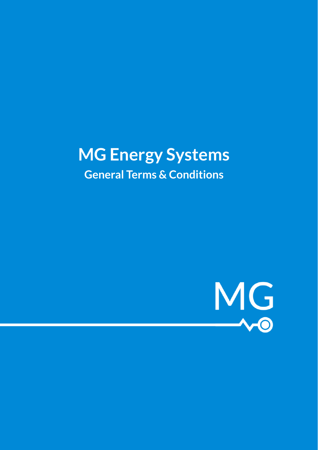# **MG Energy Systems General Terms & Conditions**

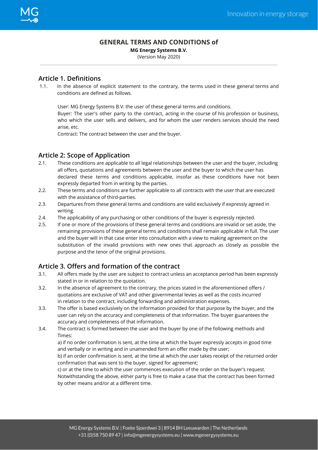#### **GENERAL TERMS AND CONDITIONS of**

**MG Energy Systems B.V.**

(Version May 2020)

#### **Article 1. Definitions**

1.1. In the absence of explicit statement to the contrary, the terms used in these general terms and conditions are defined as follows.

User: MG Energy Systems B.V. the user of these general terms and conditions.

Buyer: The user's other party to the contract, acting in the course of his profession or business, who which the user sells and delivers, and for whom the user renders services should the need arise, etc.

Contract: The contract between the user and the buyer.

#### **Article 2: Scope of Application**

- 2.1. These conditions are applicable to all legal relationships between the user and the buyer, including all offers, quotations and agreements between the user and the buyer to which the user has declared these terms and conditions applicable, insofar as these conditions have not been expressly departed from in writing by the parties.
- 2.2. These terms and conditions are further applicable to all contracts with the user that are executed with the assistance of third-parties.
- 2.3. Departures from these general terms and conditions are valid exclusively if expressly agreed in writing.
- 2.4. The applicability of any purchasing or other conditions of the buyer is expressly rejected.
- 2.5. If one or more of the provisions of these general terms and conditions are invalid or set aside, the remaining provisions of these general terms and conditions shall remain applicable in full. The user and the buyer will in that case enter into consultation with a view to making agreement on the substitution of the invalid provisions with new ones that approach as closely as possible the purpose and the tenor of the original provisions.

## **Article 3. Offers and formation of the contract**

- 3.1. All offers made by the user are subject to contract unless an acceptance period has been expressly stated in or in relation to the quotation.
- 3.2. In the absence of agreement to the contrary, the prices stated in the aforementioned offers / quotations are exclusive of VAT and other governmental levies as well as the costs incurred in relation to the contract, including forwarding and administration expenses.
- 3.3. The offer is based exclusively on the information provided for that purpose by the buyer, and the user can rely on the accuracy and completeness of that information. The buyer guarantees the accuracy and completeness of that information.
- 3.4. The contract is formed between the user and the buyer by one of the following methods and Times:

a) if no order confirmation is sent, at the time at which the buyer expressly accepts in good time and verbally or in writing and in unamended form an offer made by the user;

b) if an order confirmation is sent, at the time at which the user takes receipt of the returned order confirmation that was sent to the buyer, signed for agreement;

c) or at the time to which the user commences execution of the order on the buyer's request. Notwithstanding the above, either party is free to make a case that the contract has been formed by other means and/or at a different time.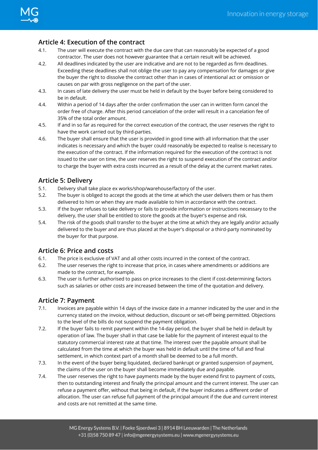#### **Article 4: Execution of the contract**

- 4.1. The user will execute the contract with the due care that can reasonably be expected of a good contractor. The user does not however guarantee that a certain result will be achieved.
- 4.2. All deadlines indicated by the user are indicative and are not to be regarded as firm deadlines. Exceeding these deadlines shall not oblige the user to pay any compensation for damages or give the buyer the right to dissolve the contract other than in cases of intentional act or omission or causes on par with gross negligence on the part of the user.
- 4.3. In cases of late delivery the user must be held in default by the buyer before being considered to be in default.
- 4.4. Within a period of 14 days after the order confirmation the user can in written form cancel the order free of charge. After this period cancelation of the order will result in a cancelation fee of 35% of the total order amount.
- 4.5. If and in so far as required for the correct execution of the contract, the user reserves the right to have the work carried out by third-parties.
- 4.6. The buyer shall ensure that the user is provided in good time with all information that the user indicates is necessary and which the buyer could reasonably be expected to realise is necessary to the execution of the contract. If the information required for the execution of the contract is not issued to the user on time, the user reserves the right to suspend execution of the contract and/or to charge the buyer with extra costs incurred as a result of the delay at the current market rates.

## **Article 5: Delivery**

- 5.1. Delivery shall take place ex works/shop/warehouse/factory of the user.
- 5.2. The buyer is obliged to accept the goods at the time at which the user delivers them or has them delivered to him or when they are made available to him in accordance with the contract.
- 5.3. If the buyer refuses to take delivery or fails to provide information or instructions necessary to the delivery, the user shall be entitled to store the goods at the buyer's expense and risk.
- 5.4. The risk of the goods shall transfer to the buyer at the time at which they are legally and/or actually delivered to the buyer and are thus placed at the buyer's disposal or a third-party nominated by the buyer for that purpose.

#### **Article 6: Price and costs**

- 6.1. The price is exclusive of VAT and all other costs incurred in the context of the contract.
- 6.2. The user reserves the right to increase that price, in cases where amendments or additions are made to the contract, for example.
- 6.3. The user is further authorised to pass on price increases to the client if cost-determining factors such as salaries or other costs are increased between the time of the quotation and delivery.

#### **Article 7: Payment**

- 7.1. Invoices are payable within 14 days of the invoice date in a manner indicated by the user and in the currency stated on the invoice, without deduction, discount or set-off being permitted. Objections to the level of the bills do not suspend the payment obligation.
- 7.2. If the buyer fails to remit payment within the 14-day period, the buyer shall be held in default by operation of law. The buyer shall in that case be liable for the payment of interest equal to the statutory commercial interest rate at that time. The interest over the payable amount shall be calculated from the time at which the buyer was held in default until the time of full and final settlement, in which context part of a month shall be deemed to be a full month.
- 7.3. In the event of the buyer being liquidated, declared bankrupt or granted suspension of payment, the claims of the user on the buyer shall become immediately due and payable.
- 7.4. The user reserves the right to have payments made by the buyer extend first to payment of costs, then to outstanding interest and finally the principal amount and the current interest. The user can refuse a payment offer, without that being in default, if the buyer indicates a different order of allocation. The user can refuse full payment of the principal amount if the due and current interest and costs are not remitted at the same time.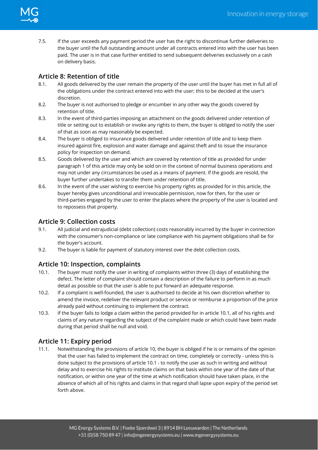

7.5. If the user exceeds any payment period the user has the right to discontinue further deliveries to the buyer until the full outstanding amount under all contracts entered into with the user has been paid. The user is in that case further entitled to send subsequent deliveries exclusively on a cash on delivery basis.

## **Article 8: Retention of title**

- 8.1. All goods delivered by the user remain the property of the user until the buyer has met in full all of the obligations under the contract entered into with the user; this to be decided at the user's discretion.
- 8.2. The buyer is not authorised to pledge or encumber in any other way the goods covered by retention of title.
- 8.3. In the event of third-parties imposing an attachment on the goods delivered under retention of title or setting out to establish or invoke any rights to them, the buyer is obliged to notify the user of that as soon as may reasonably be expected.
- 8.4. The buyer is obliged to insurance goods delivered under retention of title and to keep them insured against fire, explosion and water damage and against theft and to issue the insurance policy for inspection on demand.
- 8.5. Goods delivered by the user and which are covered by retention of title as provided for under paragraph 1 of this article may only be sold on in the context of normal business operations and may not under any circumstances be used as a means of payment. If the goods are resold, the buyer further undertakes to transfer them under retention of title.
- 8.6. In the event of the user wishing to exercise his property rights as provided for in this article, the buyer hereby gives unconditional and irrevocable permission, now for then, for the user or third-parties engaged by the user to enter the places where the property of the user is located and to repossess that property.

## **Article 9: Collection costs**

- 9.1. All judicial and extrajudicial (debt collection) costs reasonably incurred by the buyer in connection with the consumer's non-compliance or late compliance with his payment obligations shall be for the buyer's account.
- 9.2. The buyer is liable for payment of statutory interest over the debt collection costs.

#### **Article 10: Inspection, complaints**

- 10.1. The buyer must notify the user in writing of complaints within three (3) days of establishing the defect. The letter of complaint should contain a description of the failure to perform in as much detail as possible so that the user is able to put forward an adequate response.
- 10.2. If a complaint is well-founded, the user is authorised to decide at his own discretion whether to amend the invoice, redeliver the relevant product or service or reimburse a proportion of the price already paid without continuing to implement the contract.
- 10.3. If the buyer fails to lodge a claim within the period provided for in article 10.1, all of his rights and claims of any nature regarding the subject of the complaint made or which could have been made during that period shall be null and void.

## **Article 11: Expiry period**

11.1. Notwithstanding the provisions of article 10, the buyer is obliged if he is or remains of the opinion that the user has failed to implement the contract on time, completely or correctly - unless this is done subject to the provisions of article 10.1 - to notify the user as such in writing and without delay and to exercise his rights to institute claims on that basis within one year of the date of that notification, or within one year of the time at which notification should have taken place, in the absence of which all of his rights and claims in that regard shall lapse upon expiry of the period set forth above.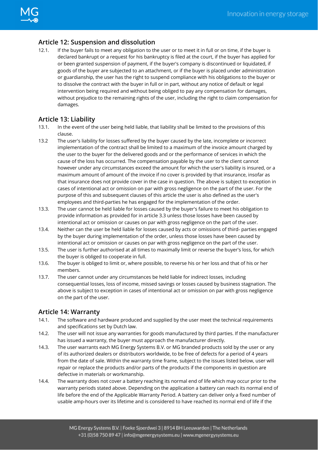# **Article 12: Suspension and dissolution**

12.1. If the buyer fails to meet any obligation to the user or to meet it in full or on time, if the buyer is declared bankrupt or a request for his bankruptcy is filed at the court, if the buyer has applied for or been granted suspension of payment, if the buyer's company is discontinued or liquidated, if goods of the buyer are subjected to an attachment, or if the buyer is placed under administration or guardianship, the user has the right to suspend compliance with his obligations to the buyer or to dissolve the contract with the buyer in full or in part, without any notice of default or legal intervention being required and without being obliged to pay any compensation for damages, without prejudice to the remaining rights of the user, including the right to claim compensation for damages.

## **Article 13: Liability**

- 13.1. In the event of the user being held liable, that liability shall be limited to the provisions of this clause.
- 13.2 The user's liability for losses suffered by the buyer caused by the late, incomplete or incorrect implementation of the contract shall be limited to a maximum of the invoice amount charged by the user to the buyer for the delivered goods and or the performance of services in which the cause of the loss has occurred. The compensation payable by the user to the client cannot however under any circumstances exceed the amount for which the user's liability is insured, or a maximum amount of amount of the invoice if no cover is provided by that insurance, insofar as that insurance does not provide cover in the case in question. The above is subject to exception in cases of intentional act or omission on par with gross negligence on the part of the user. For the purpose of this and subsequent clauses of this article the user is also defined as the user's employees and third-parties he has engaged for the implementation of the order.
- 13.3. The user cannot be held liable for losses caused by the buyer's failure to meet his obligation to provide information as provided for in article 3.3 unless those losses have been caused by intentional act or omission or causes on par with gross negligence on the part of the user.
- 13.4. Neither can the user be held liable for losses caused by acts or omissions of third- parties engaged by the buyer during implementation of the order, unless those losses have been caused by intentional act or omission or causes on par with gross negligence on the part of the user.
- 13.5. The user is further authorised at all times to maximally limit or reverse the buyer's loss, for which the buyer is obliged to cooperate in full.
- 13.6. The buyer is obliged to limit or, where possible, to reverse his or her loss and that of his or her members.
- 13.7. The user cannot under any circumstances be held liable for indirect losses, including consequential losses, loss of income, missed savings or losses caused by business stagnation. The above is subject to exception in cases of intentional act or omission on par with gross negligence on the part of the user.

#### **Article 14: Warranty**

- 14.1. The software and hardware produced and supplied by the user meet the technical requirements and specifications set by Dutch law.
- 14.2. The user will not issue any warranties for goods manufactured by third parties. If the manufacturer has issued a warranty, the buyer must approach the manufacturer directly.
- 14.3. The user warrants each MG Energy Systems B.V. or MG branded products sold by the user or any of its authorized dealers or distributors worldwide, to be free of defects for a period of 4 years from the date of sale. Within the warranty time frame, subject to the issues listed below, user will repair or replace the products and/or parts of the products if the components in question are defective in materials or workmanship.
- 14.4. The warranty does not cover a battery reaching its normal end of life which may occur prior to the warranty periods stated above. Depending on the application a battery can reach its normal end of life before the end of the Applicable Warranty Period. A battery can deliver only a fixed number of usable amp-hours over its lifetime and is considered to have reached its normal end of life if the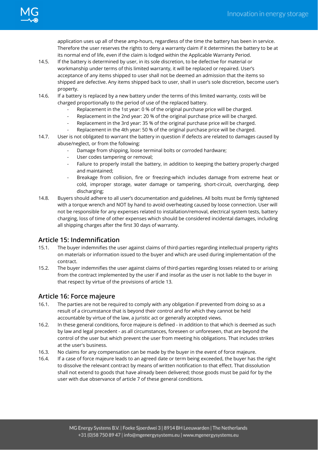application uses up all of these amp-hours, regardless of the time the battery has been in service. Therefore the user reserves the rights to deny a warranty claim if it determines the battery to be at its normal end of life, even if the claim is lodged within the Applicable Warranty Period.

- 14.5. If the battery is determined by user, in its sole discretion, to be defective for material or workmanship under terms of this limited warranty, it will be replaced or repaired. User's acceptance of any items shipped to user shall not be deemed an admission that the items so shipped are defective. Any items shipped back to user, shall in user's sole discretion, become user's property.
- 14.6. If a battery is replaced by a new battery under the terms of this limited warranty, costs will be charged proportionally to the period of use of the replaced battery.
	- Replacement in the 1st year: 0 % of the original purchase price will be charged.
	- Replacement in the 2nd year: 20 % of the original purchase price will be charged.
	- Replacement in the 3rd year: 35 % of the original purchase price will be charged.
	- Replacement in the 4th year: 50 % of the original purchase price will be charged.
- 14.7. User is not obligated to warrant the battery in question if defects are related to damages caused by abuse/neglect, or from the following:
	- Damage from shipping, loose terminal bolts or corroded hardware;
	- User codes tampering or removal;
	- Failure to properly install the battery, in addition to keeping the battery properly charged and maintained;
	- Breakage from collision, fire or freezing-which includes damage from extreme heat or cold, improper storage, water damage or tampering, short-circuit, overcharging, deep discharging;
- 14.8. Buyers should adhere to all user's documentation and guidelines. All bolts must be firmly tightened with a torque wrench and NOT by hand to avoid overheating caused by loose connection. User will not be responsible for any expenses related to installation/removal, electrical system tests, battery charging, loss of time of other expenses which should be considered incidental damages, including all shipping charges after the first 30 days of warranty.

#### **Article 15: Indemnification**

- 15.1. The buyer indemnifies the user against claims of third-parties regarding intellectual property rights on materials or information issued to the buyer and which are used during implementation of the contract.
- 15.2. The buyer indemnifies the user against claims of third-parties regarding losses related to or arising from the contract implemented by the user if and insofar as the user is not liable to the buyer in that respect by virtue of the provisions of article 13.

#### **Article 16: Force majeure**

- 16.1. The parties are not be required to comply with any obligation if prevented from doing so as a result of a circumstance that is beyond their control and for which they cannot be held accountable by virtue of the law, a juristic act or generally accepted views.
- 16.2. In these general conditions, force majeure is defined in addition to that which is deemed as such by law and legal precedent - as all circumstances, foreseen or unforeseen, that are beyond the control of the user but which prevent the user from meeting his obligations. That includes strikes at the user's business.
- 16.3. No claims for any compensation can be made by the buyer in the event of force majeure.
- 16.4. If a case of force majeure leads to an agreed date or term being exceeded, the buyer has the right to dissolve the relevant contract by means of written notification to that effect. That dissolution shall not extend to goods that have already been delivered; those goods must be paid for by the user with due observance of article 7 of these general conditions.